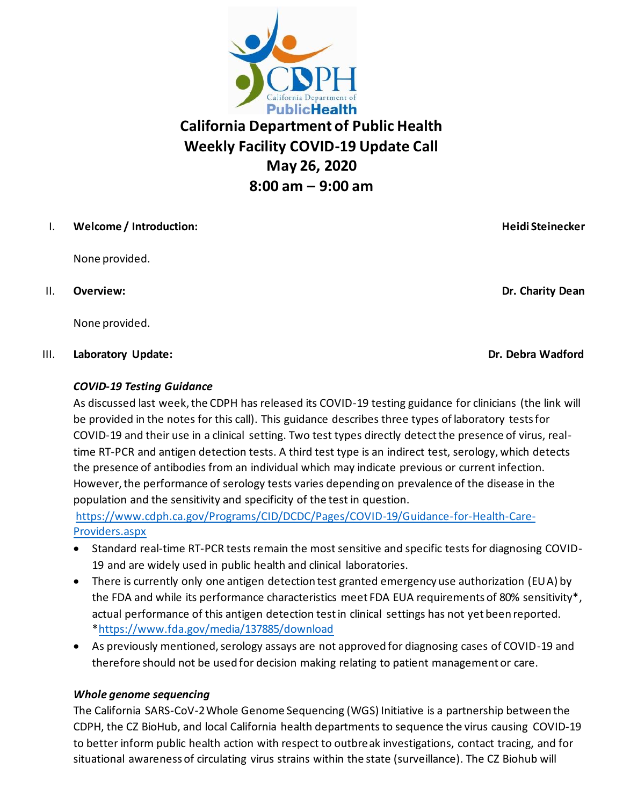

# **California Department of Public Health Weekly Facility COVID-19 Update Call May 26, 2020 8:00 am – 9:00 am**

# I. **Welcome / Introduction: Heidi Steinecker**

None provided.

None provided.

#### III. **Laboratory Update: Dr. Debra Wadford**

### *COVID-19 Testing Guidance*

As discussed last week, the CDPH has released its COVID-19 testing guidance for clinicians (the link will be provided in the notes for this call). This guidance describes three types of laboratory tests for COVID-19 and their use in a clinical setting. Two test types directly detect the presence of virus, realtime RT-PCR and antigen detection tests. A third test type is an indirect test, serology, which detects the presence of antibodies from an individual which may indicate previous or current infection. However, the performance of serology tests varies depending on prevalence of the disease in the population and the sensitivity and specificity of the test in question.

[https://www.cdph.ca.gov/Programs/CID/DCDC/Pages/COVID-19/Guidance-for-Health-Care-](https://www.cdph.ca.gov/Programs/CID/DCDC/Pages/COVID-19/Guidance-for-Health-Care-Providers.aspx)[Providers.aspx](https://www.cdph.ca.gov/Programs/CID/DCDC/Pages/COVID-19/Guidance-for-Health-Care-Providers.aspx)

- Standard real-time RT-PCR tests remain the most sensitive and specific tests for diagnosing COVID-19 and are widely used in public health and clinical laboratories.
- There is currently only one antigen detection test granted emergency use authorization (EUA) by the FDA and while its performance characteristics meet FDA EUA requirements of 80% sensitivity\*, actual performance of this antigen detection test in clinical settings has not yet been reported. [\\*https://www.fda.gov/media/137885/download](https://www.fda.gov/media/137885/download)
- As previously mentioned, serology assays are not approved for diagnosing cases of COVID-19 and therefore should not be used for decision making relating to patient management or care.

# *Whole genome sequencing*

The California SARS-CoV-2 Whole Genome Sequencing (WGS) Initiative is a partnership between the CDPH, the CZ BioHub, and local California health departments to sequence the virus causing COVID-19 to better inform public health action with respect to outbreak investigations, contact tracing, and for situational awareness of circulating virus strains within the state (surveillance). The CZ Biohub will

II. **Overview: Dr. Charity Dean**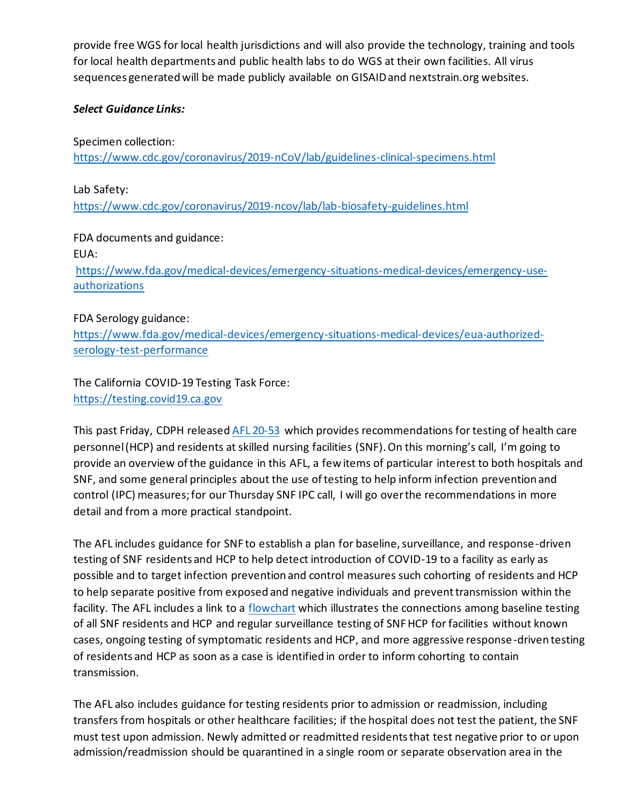provide free WGS for local health jurisdictions and will also provide the technology, training and tools for local health departments and public health labs to do WGS at their own facilities. All virus sequences generated will be made publicly available on GISAID and nextstrain.org websites.

# *Select Guidance Links:*

Specimen collection:

<https://www.cdc.gov/coronavirus/2019-nCoV/lab/guidelines-clinical-specimens.html>

Lab Safety:

<https://www.cdc.gov/coronavirus/2019-ncov/lab/lab-biosafety-guidelines.html>

FDA documents and guidance: EUA:

[https://www.fda.gov/medical-devices/emergency-situations-medical-devices/emergency-use-](https://www.fda.gov/medical-devices/emergency-situations-medical-devices/emergency-use-authorizations)

[authorizations](https://www.fda.gov/medical-devices/emergency-situations-medical-devices/emergency-use-authorizations)

# FDA Serology guidance:

[https://www.fda.gov/medical-devices/emergency-situations-medical-devices/eua-authorized](https://www.fda.gov/medical-devices/emergency-situations-medical-devices/eua-authorized-serology-test-performance)[serology-test-performance](https://www.fda.gov/medical-devices/emergency-situations-medical-devices/eua-authorized-serology-test-performance)

The California COVID-19 Testing Task Force: [https://testing.covid19.ca.gov](https://testing.covid19.ca.gov/)

This past Friday, CDPH release[d AFL 20-53](https://www.cdph.ca.gov/Programs/CHCQ/LCP/Pages/AFL-20-53.aspx) which provides recommendations for testing of health care personnel (HCP) and residents at skilled nursing facilities (SNF). On this morning's call, I'm going to provide an overview of the guidance in this AFL, a few items of particular interest to both hospitals and SNF, and some general principles about the use of testing to help inform infection prevention and control (IPC) measures; for our Thursday SNF IPC call, I will go over the recommendations in more detail and from a more practical standpoint.

The AFL includes guidance for SNF to establish a plan for baseline, surveillance, and response-driven testing of SNF residents and HCP to help detect introduction of COVID-19 to a facility as early as possible and to target infection prevention and control measures such cohorting of residents and HCP to help separate positive from exposed and negative individuals and prevent transmission within the facility. The AFL includes a link to a [flowchart](https://www.cdph.ca.gov/Programs/CHCQ/LCP/CDPH%20Document%20Library/AFL-20-53-Attachment-01.pdf) which illustrates the connections among baseline testing of all SNF residents and HCP and regular surveillance testing of SNF HCP for facilities without known cases, ongoing testing of symptomatic residents and HCP, and more aggressive response-driven testing of residents and HCP as soon as a case is identified in order to inform cohorting to contain transmission.

The AFL also includes guidance for testing residents prior to admission or readmission, including transfers from hospitals or other healthcare facilities; if the hospital does not test the patient, the SNF must test upon admission. Newly admitted or readmitted residents that test negative prior to or upon admission/readmission should be quarantined in a single room or separate observation area in the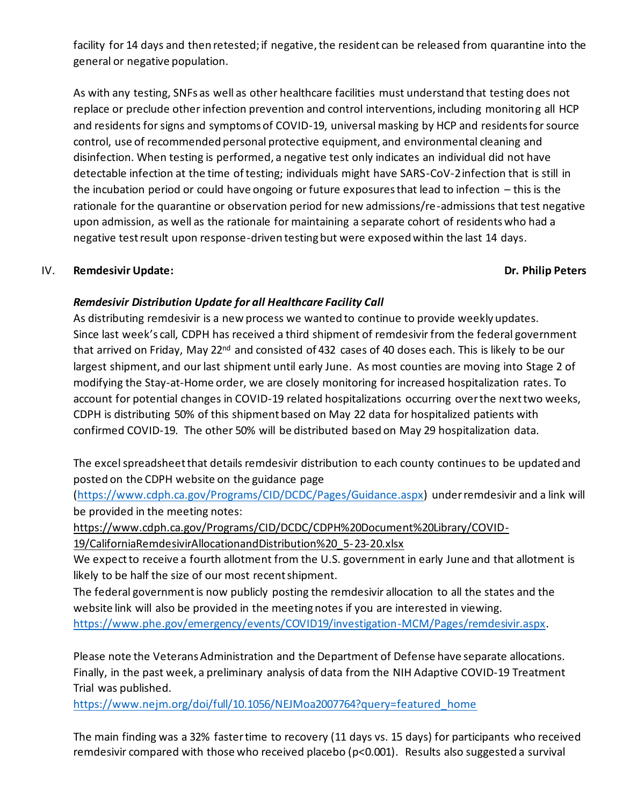facility for 14 days and then retested; if negative, the resident can be released from quarantine into the general or negative population.

As with any testing, SNFs as well as other healthcare facilities must understand that testing does not replace or preclude other infection prevention and control interventions, including monitoring all HCP and residents for signs and symptoms of COVID-19, universal masking by HCP and residents for source control, use of recommended personal protective equipment, and environmental cleaning and disinfection. When testing is performed, a negative test only indicates an individual did not have detectable infection at the time of testing; individuals might have SARS-CoV-2 infection that is still in the incubation period or could have ongoing or future exposures that lead to infection – this is the rationale for the quarantine or observation period for new admissions/re-admissions that test negative upon admission, as well as the rationale for maintaining a separate cohort of residents who had a negative test result upon response-driven testing but were exposed within the last 14 days.

### IV. **Remdesivir Update: Dr. Philip Peters**

### *Remdesivir Distribution Update for all Healthcare Facility Call*

As distributing remdesivir is a new process we wanted to continue to provide weekly updates. Since last week's call, CDPH has received a third shipment of remdesivir from the federal government that arrived on Friday, May  $22^{nd}$  and consisted of 432 cases of 40 doses each. This is likely to be our largest shipment, and our last shipment until early June. As most counties are moving into Stage 2 of modifying the Stay-at-Home order, we are closely monitoring for increased hospitalization rates. To account for potential changes in COVID-19 related hospitalizations occurring over the next two weeks, CDPH is distributing 50% of this shipment based on May 22 data for hospitalized patients with confirmed COVID-19. The other 50% will be distributed based on May 29 hospitalization data.

The excel spreadsheet that details remdesivir distribution to each county continues to be updated and posted on the CDPH website on the guidance page

[\(https://www.cdph.ca.gov/Programs/CID/DCDC/Pages/Guidance.aspx](https://www.cdph.ca.gov/Programs/CID/DCDC/Pages/Guidance.aspx)) under remdesivir and a link will be provided in the meeting notes:

https://www.cdph.ca.gov/Programs/CID/DCDC/CDPH%20Document%20Library/COVID-

19/CaliforniaRemdesivirAllocationandDistribution%20\_5-23-20.xlsx

We expect to receive a fourth allotment from the U.S. government in early June and that allotment is likely to be half the size of our most recent shipment.

The federal government is now publicly posting the remdesivir allocation to all the states and the website link will also be provided in the meeting notes if you are interested in viewing. <https://www.phe.gov/emergency/events/COVID19/investigation-MCM/Pages/remdesivir.aspx>.

Please note the Veterans Administration and the Department of Defense have separate allocations. Finally, in the past week, a preliminary analysis of data from the NIH Adaptive COVID-19 Treatment Trial was published.

[https://www.nejm.org/doi/full/10.1056/NEJMoa2007764?query=featured\\_home](https://www.nejm.org/doi/full/10.1056/NEJMoa2007764?query=featured_home)

The main finding was a 32% faster time to recovery (11 days vs. 15 days) for participants who received remdesivir compared with those who received placebo (p<0.001). Results also suggested a survival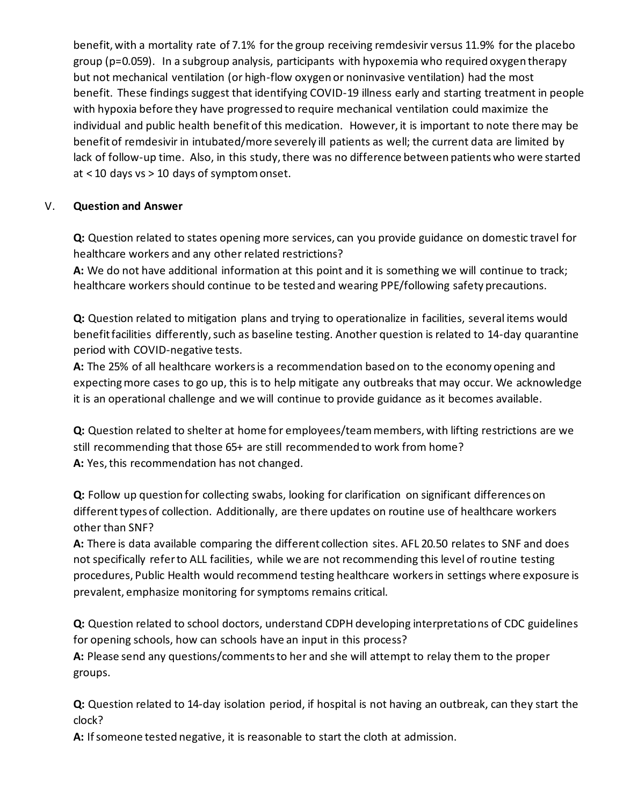benefit, with a mortality rate of 7.1% for the group receiving remdesivir versus 11.9% for the placebo group (p=0.059). In a subgroup analysis, participants with hypoxemia who required oxygen therapy but not mechanical ventilation (or high-flow oxygen or noninvasive ventilation) had the most benefit. These findings suggest that identifying COVID-19 illness early and starting treatment in people with hypoxia before they have progressed to require mechanical ventilation could maximize the individual and public health benefit of this medication. However, it is important to note there may be benefit of remdesivir in intubated/more severely ill patients as well; the current data are limited by lack of follow-up time. Also, in this study, there was no difference between patients who were started at < 10 days vs > 10 days of symptom onset.

# V. **Question and Answer**

**Q:** Question related to states opening more services, can you provide guidance on domestic travel for healthcare workers and any other related restrictions?

**A:** We do not have additional information at this point and it is something we will continue to track; healthcare workers should continue to be tested and wearing PPE/following safety precautions.

**Q:** Question related to mitigation plans and trying to operationalize in facilities, several items would benefit facilities differently, such as baseline testing. Another question is related to 14-day quarantine period with COVID-negative tests.

**A:** The 25% of all healthcare workers is a recommendation based on to the economy opening and expecting more cases to go up, this is to help mitigate any outbreaks that may occur. We acknowledge it is an operational challenge and we will continue to provide guidance as it becomes available.

**Q:** Question related to shelter at home for employees/team members, with lifting restrictions are we still recommending that those 65+ are still recommended to work from home? **A:** Yes, this recommendation has not changed.

**Q:** Follow up question for collecting swabs, looking for clarification on significant differences on different types of collection. Additionally, are there updates on routine use of healthcare workers other than SNF?

**A:** There is data available comparing the different collection sites. AFL 20.50 relates to SNF and does not specifically refer to ALL facilities, while we are not recommending this level of routine testing procedures, Public Health would recommend testing healthcare workers in settings where exposure is prevalent, emphasize monitoring for symptoms remains critical.

**Q:** Question related to school doctors, understand CDPH developing interpretations of CDC guidelines for opening schools, how can schools have an input in this process?

**A:** Please send any questions/comments to her and she will attempt to relay them to the proper groups.

**Q:** Question related to 14-day isolation period, if hospital is not having an outbreak, can they start the clock?

**A:** If someone tested negative, it is reasonable to start the cloth at admission.